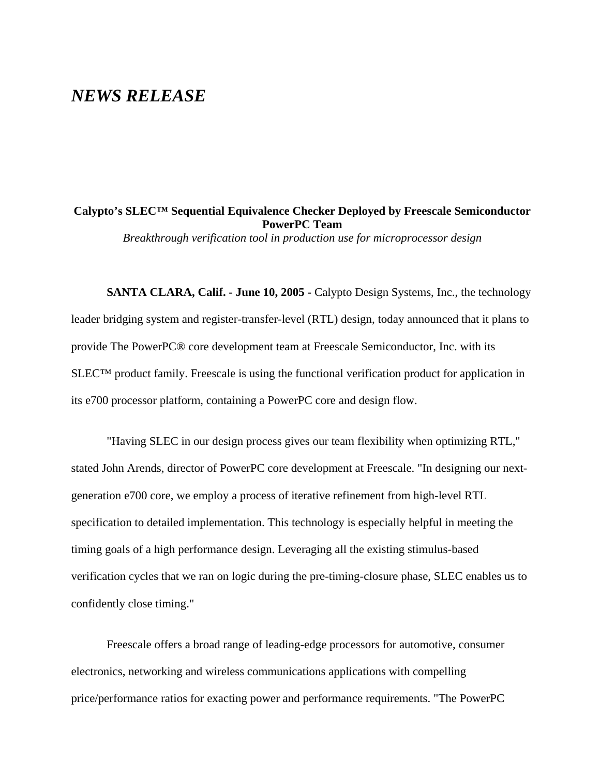## *NEWS RELEASE*

**Calypto's SLEC™ Sequential Equivalence Checker Deployed by Freescale Semiconductor PowerPC Team**  *Breakthrough verification tool in production use for microprocessor design*

**SANTA CLARA, Calif. - June 10, 2005 -** Calypto Design Systems, Inc., the technology leader bridging system and register-transfer-level (RTL) design, today announced that it plans to provide The PowerPC® core development team at Freescale Semiconductor, Inc. with its SLEC™ product family. Freescale is using the functional verification product for application in its e700 processor platform, containing a PowerPC core and design flow.

"Having SLEC in our design process gives our team flexibility when optimizing RTL," stated John Arends, director of PowerPC core development at Freescale. "In designing our nextgeneration e700 core, we employ a process of iterative refinement from high-level RTL specification to detailed implementation. This technology is especially helpful in meeting the timing goals of a high performance design. Leveraging all the existing stimulus-based verification cycles that we ran on logic during the pre-timing-closure phase, SLEC enables us to confidently close timing."

Freescale offers a broad range of leading-edge processors for automotive, consumer electronics, networking and wireless communications applications with compelling price/performance ratios for exacting power and performance requirements. "The PowerPC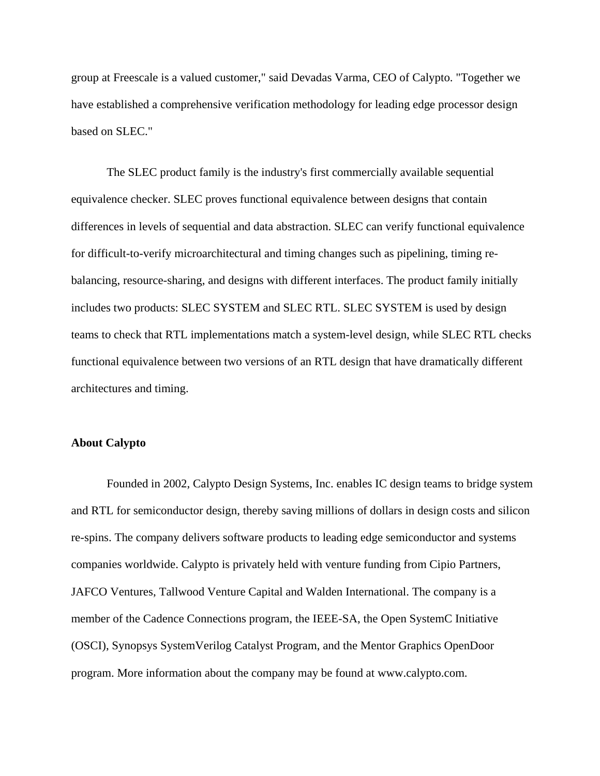group at Freescale is a valued customer," said Devadas Varma, CEO of Calypto. "Together we have established a comprehensive verification methodology for leading edge processor design based on SLEC."

The SLEC product family is the industry's first commercially available sequential equivalence checker. SLEC proves functional equivalence between designs that contain differences in levels of sequential and data abstraction. SLEC can verify functional equivalence for difficult-to-verify microarchitectural and timing changes such as pipelining, timing rebalancing, resource-sharing, and designs with different interfaces. The product family initially includes two products: SLEC SYSTEM and SLEC RTL. SLEC SYSTEM is used by design teams to check that RTL implementations match a system-level design, while SLEC RTL checks functional equivalence between two versions of an RTL design that have dramatically different architectures and timing.

## **About Calypto**

Founded in 2002, Calypto Design Systems, Inc. enables IC design teams to bridge system and RTL for semiconductor design, thereby saving millions of dollars in design costs and silicon re-spins. The company delivers software products to leading edge semiconductor and systems companies worldwide. Calypto is privately held with venture funding from Cipio Partners, JAFCO Ventures, Tallwood Venture Capital and Walden International. The company is a member of the Cadence Connections program, the IEEE-SA, the Open SystemC Initiative (OSCI), Synopsys SystemVerilog Catalyst Program, and the Mentor Graphics OpenDoor program. More information about the company may be found at www.calypto.com.